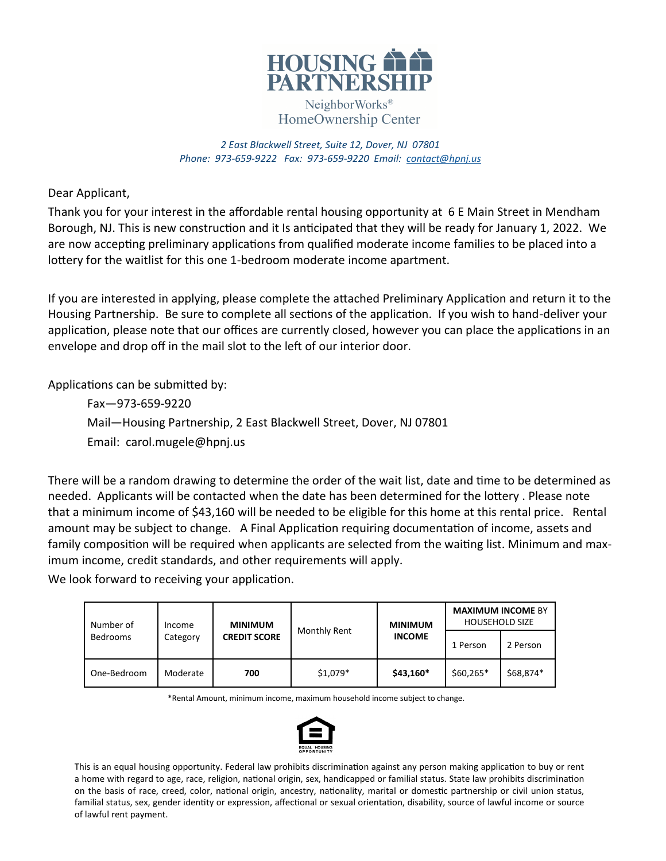

NeighborWorks<sup>®</sup> HomeOwnership Center

*2 East Blackwell Street, Suite 12, Dover, NJ 07801 Phone: 973-659-9222 Fax: 973-659-9220 Email: [contact@hpnj.us](mailto:contact@hpnj.us)*

Dear Applicant,

Thank you for your interest in the affordable rental housing opportunity at 6 E Main Street in Mendham Borough, NJ. This is new construction and it Is anticipated that they will be ready for January 1, 2022. We are now accepting preliminary applications from qualified moderate income families to be placed into a lottery for the waitlist for this one 1-bedroom moderate income apartment.

If you are interested in applying, please complete the attached Preliminary Application and return it to the Housing Partnership. Be sure to complete all sections of the application. If you wish to hand-deliver your application, please note that our offices are currently closed, however you can place the applications in an envelope and drop off in the mail slot to the left of our interior door.

Applications can be submitted by:

Fax—973-659-9220 Mail—Housing Partnership, 2 East Blackwell Street, Dover, NJ 07801 Email: carol.mugele@hpnj.us

There will be a random drawing to determine the order of the wait list, date and time to be determined as needed. Applicants will be contacted when the date has been determined for the lottery . Please note that a minimum income of \$43,160 will be needed to be eligible for this home at this rental price. Rental amount may be subject to change. A Final Application requiring documentation of income, assets and family composition will be required when applicants are selected from the waiting list. Minimum and maximum income, credit standards, and other requirements will apply.

We look forward to receiving your application.

| Number of       | Income   | <b>MINIMUM</b>      |              | <b>MINIMUM</b><br><b>INCOME</b> | <b>MAXIMUM INCOME BY</b><br><b>HOUSEHOLD SIZE</b> |           |
|-----------------|----------|---------------------|--------------|---------------------------------|---------------------------------------------------|-----------|
| <b>Bedrooms</b> | Category | <b>CREDIT SCORE</b> | Monthly Rent |                                 | 1 Person                                          | 2 Person  |
| One-Bedroom     | Moderate | 700                 | $$1,079*$    | \$43,160*                       | $$60,265*$                                        | \$68,874* |

\*Rental Amount, minimum income, maximum household income subject to change.



This is an equal housing opportunity. Federal law prohibits discrimination against any person making application to buy or rent a home with regard to age, race, religion, national origin, sex, handicapped or familial status. State law prohibits discrimination on the basis of race, creed, color, national origin, ancestry, nationality, marital or domestic partnership or civil union status, familial status, sex, gender identity or expression, affectional or sexual orientation, disability, source of lawful income or source of lawful rent payment.